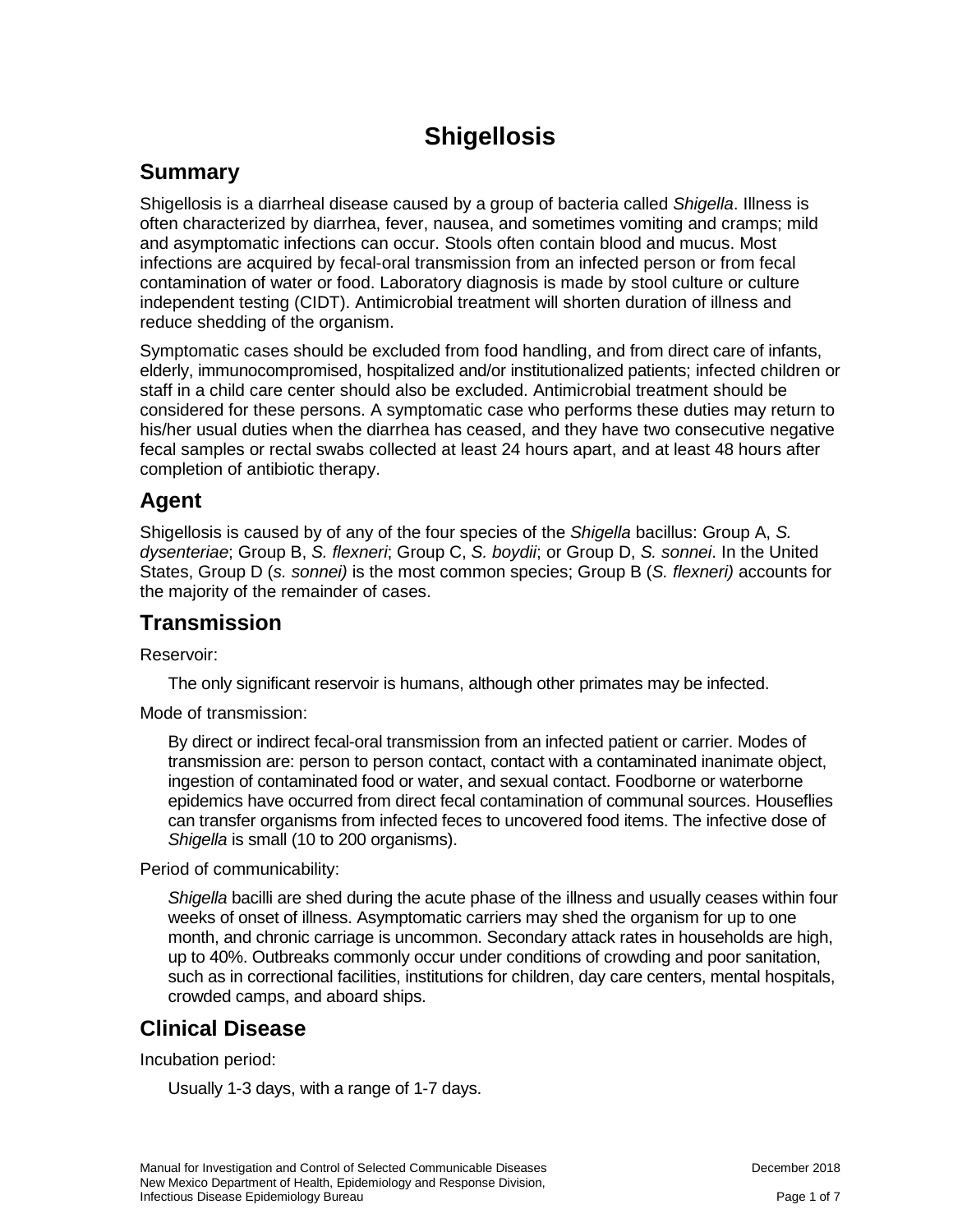# **Shigellosis**

### **Summary**

Shigellosis is a diarrheal disease caused by a group of bacteria called *Shigella*. Illness is often characterized by diarrhea, fever, nausea, and sometimes vomiting and cramps; mild and asymptomatic infections can occur. Stools often contain blood and mucus. Most infections are acquired by fecal-oral transmission from an infected person or from fecal contamination of water or food. Laboratory diagnosis is made by stool culture or culture independent testing (CIDT). Antimicrobial treatment will shorten duration of illness and reduce shedding of the organism.

Symptomatic cases should be excluded from food handling, and from direct care of infants, elderly, immunocompromised, hospitalized and/or institutionalized patients; infected children or staff in a child care center should also be excluded. Antimicrobial treatment should be considered for these persons. A symptomatic case who performs these duties may return to his/her usual duties when the diarrhea has ceased, and they have two consecutive negative fecal samples or rectal swabs collected at least 24 hours apart, and at least 48 hours after completion of antibiotic therapy.

#### **Agent**

Shigellosis is caused by of any of the four species of the *Shigella* bacillus: Group A, *S. dysenteriae*; Group B, *S. flexneri*; Group C, *S. boydii*; or Group D, *S. sonnei*. In the United States, Group D (*s. sonnei)* is the most common species; Group B (*S. flexneri)* accounts for the majority of the remainder of cases.

### **Transmission**

Reservoir:

The only significant reservoir is humans, although other primates may be infected.

Mode of transmission:

By direct or indirect fecal-oral transmission from an infected patient or carrier. Modes of transmission are: person to person contact, contact with a contaminated inanimate object, ingestion of contaminated food or water, and sexual contact. Foodborne or waterborne epidemics have occurred from direct fecal contamination of communal sources. Houseflies can transfer organisms from infected feces to uncovered food items. The infective dose of *Shigella* is small (10 to 200 organisms).

Period of communicability:

*Shigella* bacilli are shed during the acute phase of the illness and usually ceases within four weeks of onset of illness. Asymptomatic carriers may shed the organism for up to one month, and chronic carriage is uncommon. Secondary attack rates in households are high, up to 40%. Outbreaks commonly occur under conditions of crowding and poor sanitation, such as in correctional facilities, institutions for children, day care centers, mental hospitals, crowded camps, and aboard ships.

### **Clinical Disease**

Incubation period:

Usually 1-3 days, with a range of 1-7 days.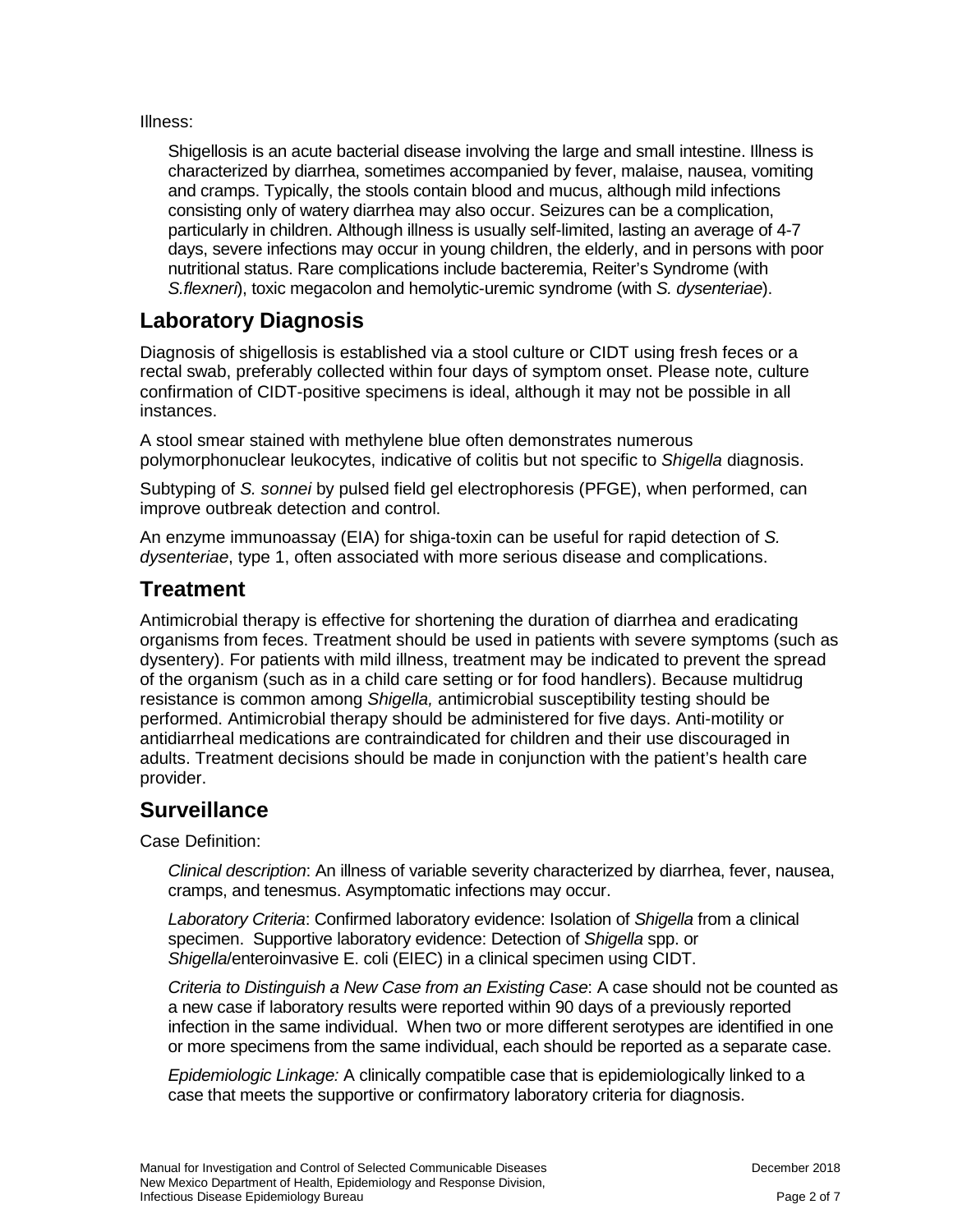Illness:

Shigellosis is an acute bacterial disease involving the large and small intestine. Illness is characterized by diarrhea, sometimes accompanied by fever, malaise, nausea, vomiting and cramps. Typically, the stools contain blood and mucus, although mild infections consisting only of watery diarrhea may also occur. Seizures can be a complication, particularly in children. Although illness is usually self-limited, lasting an average of 4-7 days, severe infections may occur in young children, the elderly, and in persons with poor nutritional status. Rare complications include bacteremia, Reiter's Syndrome (with *S.flexneri*), toxic megacolon and hemolytic-uremic syndrome (with *S. dysenteriae*).

# **Laboratory Diagnosis**

Diagnosis of shigellosis is established via a stool culture or CIDT using fresh feces or a rectal swab, preferably collected within four days of symptom onset. Please note, culture confirmation of CIDT-positive specimens is ideal, although it may not be possible in all instances.

A stool smear stained with methylene blue often demonstrates numerous polymorphonuclear leukocytes, indicative of colitis but not specific to *Shigella* diagnosis.

Subtyping of *S. sonnei* by pulsed field gel electrophoresis (PFGE), when performed, can improve outbreak detection and control.

An enzyme immunoassay (EIA) for shiga-toxin can be useful for rapid detection of *S. dysenteriae*, type 1, often associated with more serious disease and complications.

### **Treatment**

Antimicrobial therapy is effective for shortening the duration of diarrhea and eradicating organisms from feces. Treatment should be used in patients with severe symptoms (such as dysentery). For patients with mild illness, treatment may be indicated to prevent the spread of the organism (such as in a child care setting or for food handlers). Because multidrug resistance is common among *Shigella,* antimicrobial susceptibility testing should be performed. Antimicrobial therapy should be administered for five days. Anti-motility or antidiarrheal medications are contraindicated for children and their use discouraged in adults. Treatment decisions should be made in conjunction with the patient's health care provider.

## **Surveillance**

Case Definition:

*Clinical description*: An illness of variable severity characterized by diarrhea, fever, nausea, cramps, and tenesmus. Asymptomatic infections may occur.

*Laboratory Criteria*: Confirmed laboratory evidence: Isolation of *Shigella* from a clinical specimen. Supportive laboratory evidence: Detection of *Shigella* spp. or *Shigella*/enteroinvasive E. coli (EIEC) in a clinical specimen using CIDT.

*Criteria to Distinguish a New Case from an Existing Case*: A case should not be counted as a new case if laboratory results were reported within 90 days of a previously reported infection in the same individual. When two or more different serotypes are identified in one or more specimens from the same individual, each should be reported as a separate case.

*Epidemiologic Linkage:* A clinically compatible case that is epidemiologically linked to a case that meets the supportive or confirmatory laboratory criteria for diagnosis.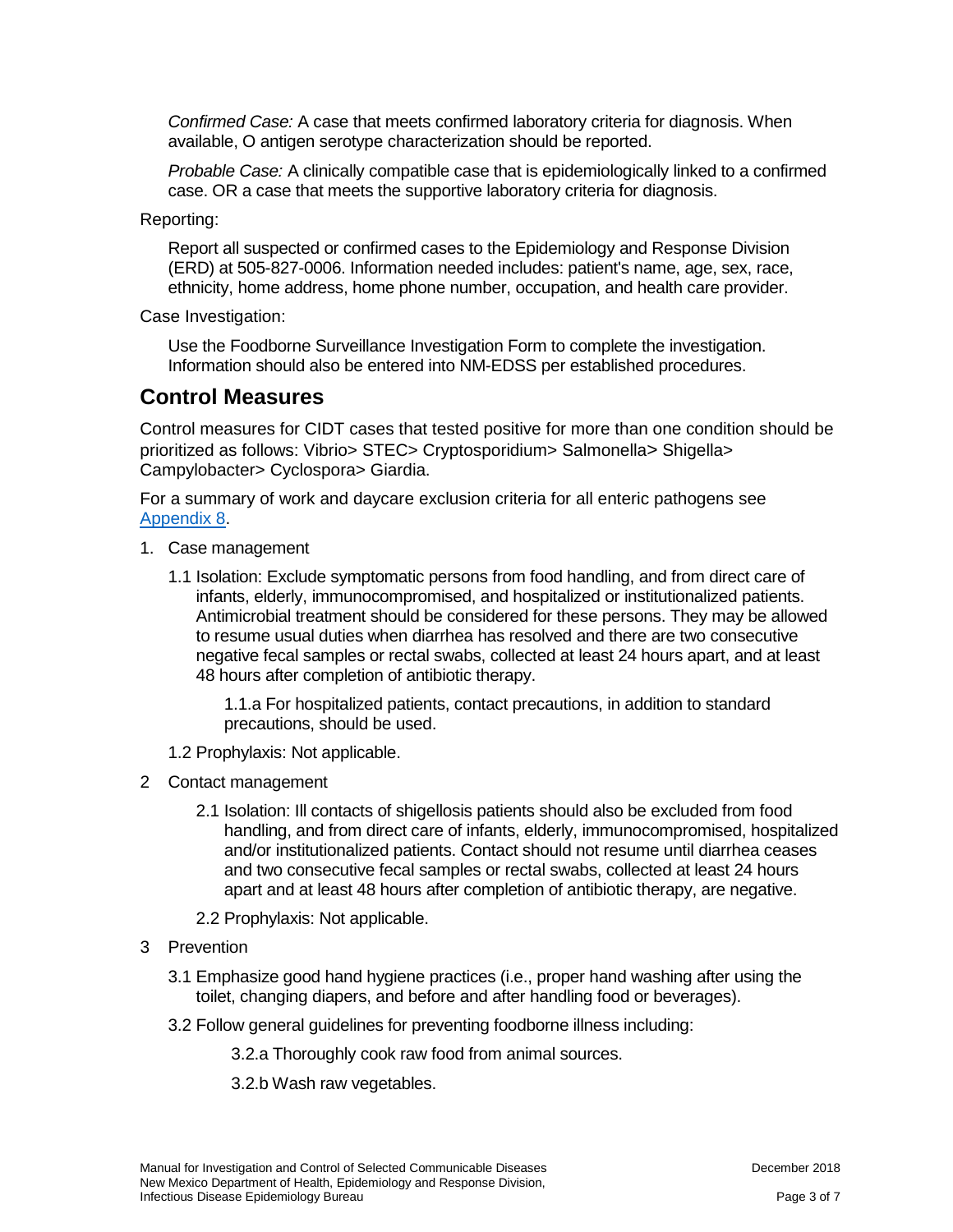*Confirmed Case:* A case that meets confirmed laboratory criteria for diagnosis. When available, O antigen serotype characterization should be reported.

*Probable Case:* A clinically compatible case that is epidemiologically linked to a confirmed case. OR a case that meets the supportive laboratory criteria for diagnosis.

Reporting:

Report all suspected or confirmed cases to the Epidemiology and Response Division (ERD) at 505-827-0006. Information needed includes: patient's name, age, sex, race, ethnicity, home address, home phone number, occupation, and health care provider.

Case Investigation:

Use the Foodborne Surveillance Investigation Form to complete the investigation. Information should also be entered into NM-EDSS per established procedures.

#### **Control Measures**

Control measures for CIDT cases that tested positive for more than one condition should be prioritized as follows: Vibrio> STEC> Cryptosporidium> Salmonella> Shigella> Campylobacter> Cyclospora> Giardia.

For a summary of work and daycare exclusion criteria for all enteric pathogens see [Appendix 8.](https://nmhealth.org/publication/view/general/5156/)

- 1. Case management
	- 1.1 Isolation: Exclude symptomatic persons from food handling, and from direct care of infants, elderly, immunocompromised, and hospitalized or institutionalized patients. Antimicrobial treatment should be considered for these persons. They may be allowed to resume usual duties when diarrhea has resolved and there are two consecutive negative fecal samples or rectal swabs, collected at least 24 hours apart, and at least 48 hours after completion of antibiotic therapy.

1.1.a For hospitalized patients, contact precautions, in addition to standard precautions, should be used.

- 1.2 Prophylaxis: Not applicable.
- 2 Contact management
	- 2.1 Isolation: Ill contacts of shigellosis patients should also be excluded from food handling, and from direct care of infants, elderly, immunocompromised, hospitalized and/or institutionalized patients. Contact should not resume until diarrhea ceases and two consecutive fecal samples or rectal swabs, collected at least 24 hours apart and at least 48 hours after completion of antibiotic therapy, are negative.
	- 2.2 Prophylaxis: Not applicable.
- 3 Prevention
	- 3.1 Emphasize good hand hygiene practices (i.e., proper hand washing after using the toilet, changing diapers, and before and after handling food or beverages).
	- 3.2 Follow general guidelines for preventing foodborne illness including:

3.2.a Thoroughly cook raw food from animal sources.

3.2.b Wash raw vegetables.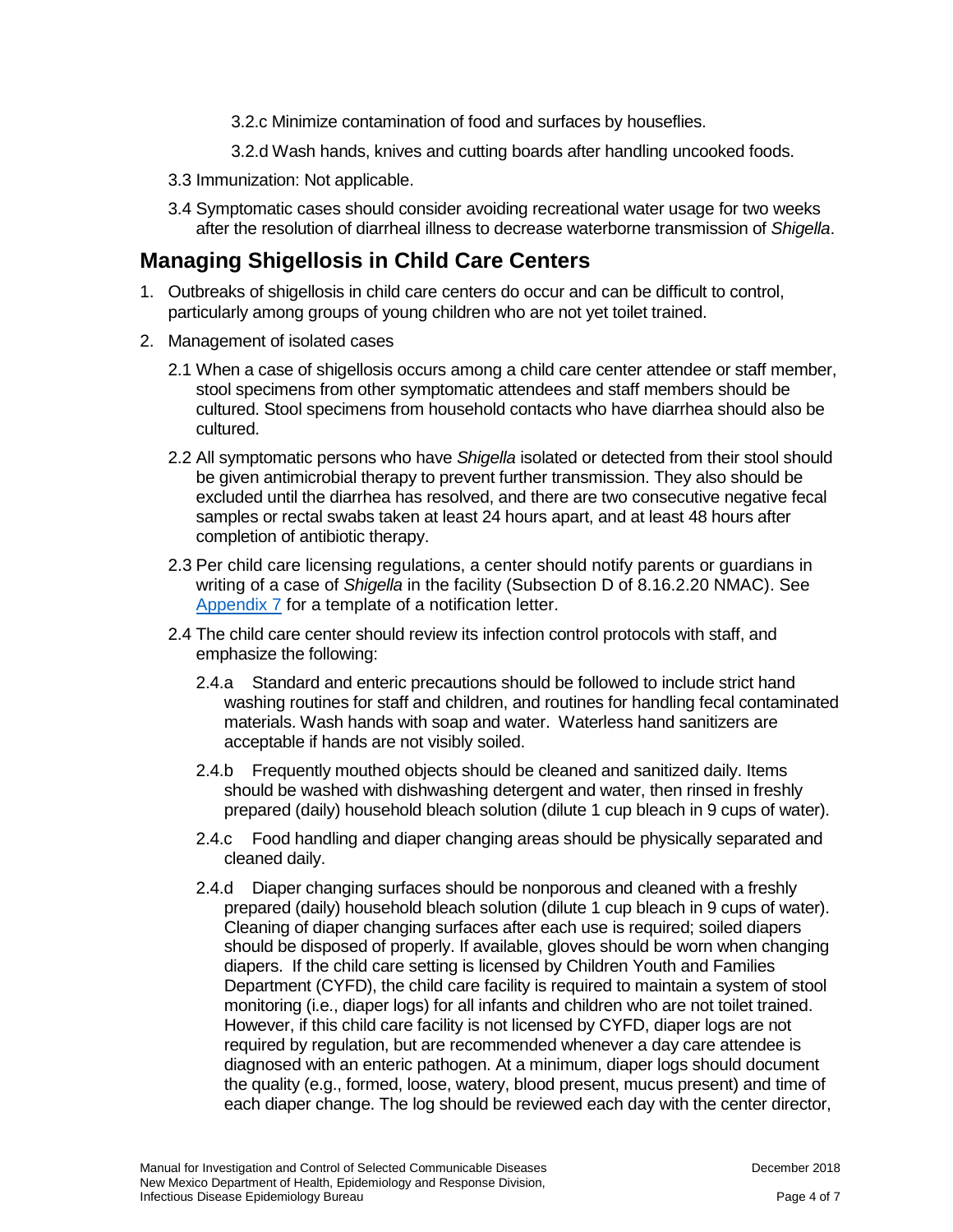3.2.c Minimize contamination of food and surfaces by houseflies.

- 3.2.d Wash hands, knives and cutting boards after handling uncooked foods.
- 3.3 Immunization: Not applicable.
- 3.4 Symptomatic cases should consider avoiding recreational water usage for two weeks after the resolution of diarrheal illness to decrease waterborne transmission of *Shigella*.

### **Managing Shigellosis in Child Care Centers**

- 1. Outbreaks of shigellosis in child care centers do occur and can be difficult to control, particularly among groups of young children who are not yet toilet trained.
- 2. Management of isolated cases
	- 2.1 When a case of shigellosis occurs among a child care center attendee or staff member, stool specimens from other symptomatic attendees and staff members should be cultured. Stool specimens from household contacts who have diarrhea should also be cultured.
	- 2.2 All symptomatic persons who have *Shigella* isolated or detected from their stool should be given antimicrobial therapy to prevent further transmission. They also should be excluded until the diarrhea has resolved, and there are two consecutive negative fecal samples or rectal swabs taken at least 24 hours apart, and at least 48 hours after completion of antibiotic therapy.
	- 2.3 Per child care licensing regulations, a center should notify parents or guardians in writing of a case of *Shigella* in the facility (Subsection D of 8.16.2.20 NMAC). See [Appendix 7](https://nmhealth.org/publication/view/general/5155/) for a template of a notification letter.
	- 2.4 The child care center should review its infection control protocols with staff, and emphasize the following:
		- 2.4.a Standard and enteric precautions should be followed to include strict hand washing routines for staff and children, and routines for handling fecal contaminated materials. Wash hands with soap and water. Waterless hand sanitizers are acceptable if hands are not visibly soiled.
		- 2.4.b Frequently mouthed objects should be cleaned and sanitized daily. Items should be washed with dishwashing detergent and water, then rinsed in freshly prepared (daily) household bleach solution (dilute 1 cup bleach in 9 cups of water).
		- 2.4.c Food handling and diaper changing areas should be physically separated and cleaned daily.
		- 2.4.d Diaper changing surfaces should be nonporous and cleaned with a freshly prepared (daily) household bleach solution (dilute 1 cup bleach in 9 cups of water). Cleaning of diaper changing surfaces after each use is required; soiled diapers should be disposed of properly. If available, gloves should be worn when changing diapers. If the child care setting is licensed by Children Youth and Families Department (CYFD), the child care facility is required to maintain a system of stool monitoring (i.e., diaper logs) for all infants and children who are not toilet trained. However, if this child care facility is not licensed by CYFD, diaper logs are not required by regulation, but are recommended whenever a day care attendee is diagnosed with an enteric pathogen. At a minimum, diaper logs should document the quality (e.g., formed, loose, watery, blood present, mucus present) and time of each diaper change. The log should be reviewed each day with the center director,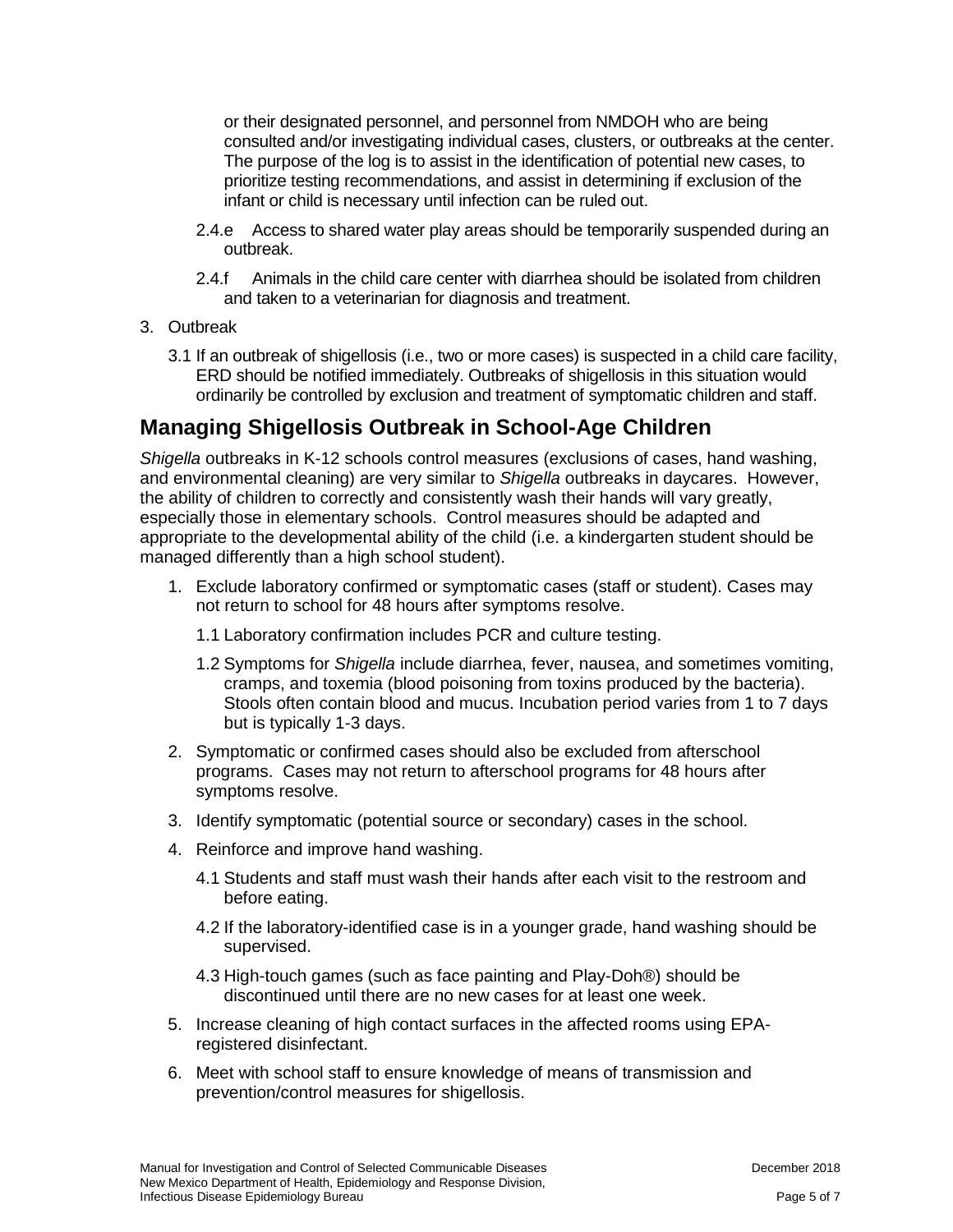or their designated personnel, and personnel from NMDOH who are being consulted and/or investigating individual cases, clusters, or outbreaks at the center. The purpose of the log is to assist in the identification of potential new cases, to prioritize testing recommendations, and assist in determining if exclusion of the infant or child is necessary until infection can be ruled out.

- 2.4.e Access to shared water play areas should be temporarily suspended during an outbreak.
- 2.4.f Animals in the child care center with diarrhea should be isolated from children and taken to a veterinarian for diagnosis and treatment.
- 3. Outbreak
	- 3.1 If an outbreak of shigellosis (i.e., two or more cases) is suspected in a child care facility, ERD should be notified immediately. Outbreaks of shigellosis in this situation would ordinarily be controlled by exclusion and treatment of symptomatic children and staff.

#### **Managing Shigellosis Outbreak in School-Age Children**

*Shigella* outbreaks in K-12 schools control measures (exclusions of cases, hand washing, and environmental cleaning) are very similar to *Shigella* outbreaks in daycares. However, the ability of children to correctly and consistently wash their hands will vary greatly, especially those in elementary schools. Control measures should be adapted and appropriate to the developmental ability of the child (i.e. a kindergarten student should be managed differently than a high school student).

- 1. Exclude laboratory confirmed or symptomatic cases (staff or student). Cases may not return to school for 48 hours after symptoms resolve.
	- 1.1 Laboratory confirmation includes PCR and culture testing.
	- 1.2 Symptoms for *Shigella* include diarrhea, fever, nausea, and sometimes vomiting, cramps, and toxemia (blood poisoning from toxins produced by the bacteria). Stools often contain blood and mucus. Incubation period varies from 1 to 7 days but is typically 1-3 days.
- 2. Symptomatic or confirmed cases should also be excluded from afterschool programs. Cases may not return to afterschool programs for 48 hours after symptoms resolve.
- 3. Identify symptomatic (potential source or secondary) cases in the school.
- 4. Reinforce and improve hand washing.
	- 4.1 Students and staff must wash their hands after each visit to the restroom and before eating.
	- 4.2 If the laboratory-identified case is in a younger grade, hand washing should be supervised.
	- 4.3 High-touch games (such as face painting and Play-Doh®) should be discontinued until there are no new cases for at least one week.
- 5. Increase cleaning of high contact surfaces in the affected rooms using EPAregistered disinfectant.
- 6. Meet with school staff to ensure knowledge of means of transmission and prevention/control measures for shigellosis.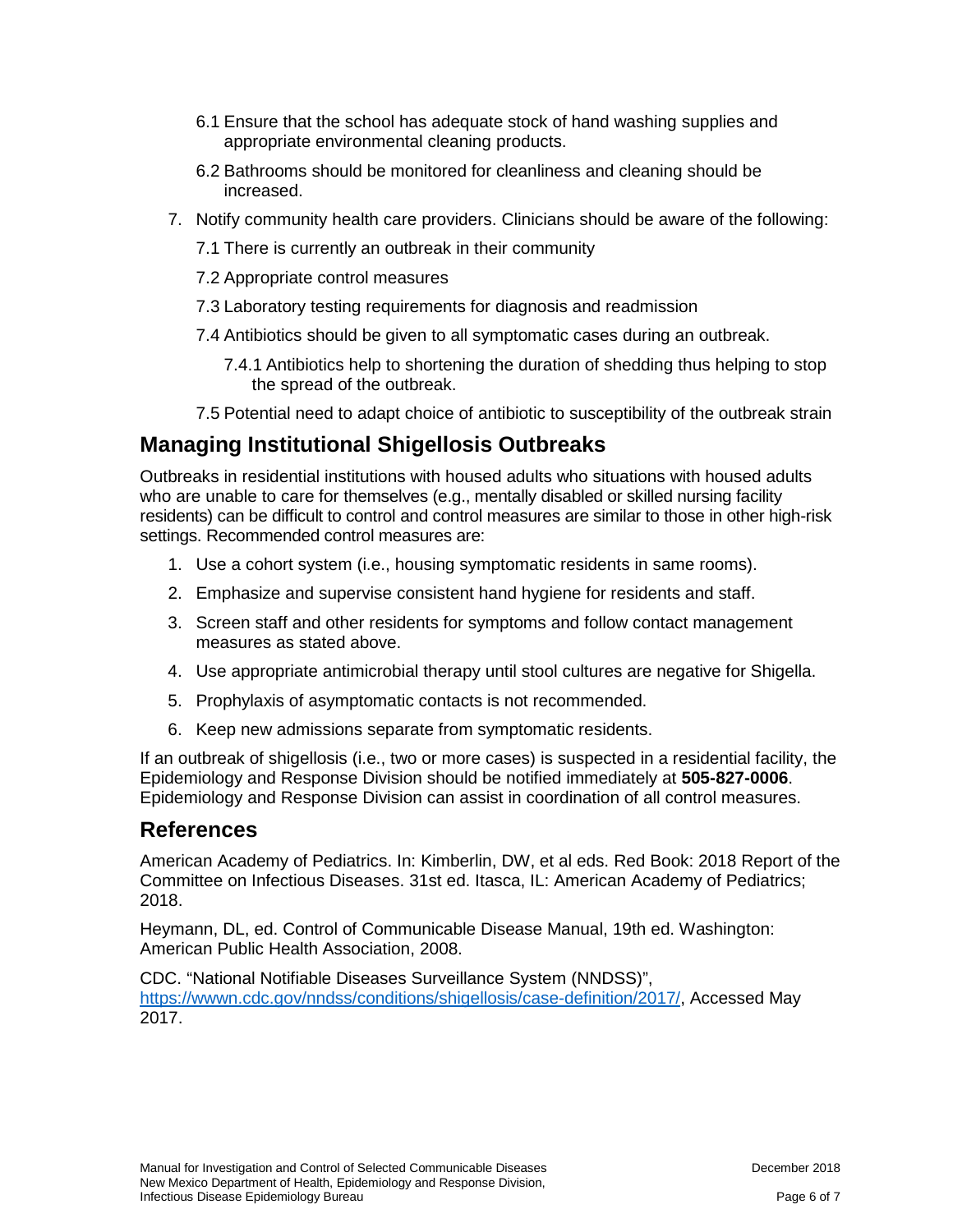- 6.1 Ensure that the school has adequate stock of hand washing supplies and appropriate environmental cleaning products.
- 6.2 Bathrooms should be monitored for cleanliness and cleaning should be increased.
- 7. Notify community health care providers. Clinicians should be aware of the following:
	- 7.1 There is currently an outbreak in their community
	- 7.2 Appropriate control measures
	- 7.3 Laboratory testing requirements for diagnosis and readmission
	- 7.4 Antibiotics should be given to all symptomatic cases during an outbreak.
		- 7.4.1 Antibiotics help to shortening the duration of shedding thus helping to stop the spread of the outbreak.
	- 7.5 Potential need to adapt choice of antibiotic to susceptibility of the outbreak strain

### **Managing Institutional Shigellosis Outbreaks**

Outbreaks in residential institutions with housed adults who situations with housed adults who are unable to care for themselves (e.g., mentally disabled or skilled nursing facility residents) can be difficult to control and control measures are similar to those in other high-risk settings. Recommended control measures are:

- 1. Use a cohort system (i.e., housing symptomatic residents in same rooms).
- 2. Emphasize and supervise consistent hand hygiene for residents and staff.
- 3. Screen staff and other residents for symptoms and follow contact management measures as stated above.
- 4. Use appropriate antimicrobial therapy until stool cultures are negative for Shigella.
- 5. Prophylaxis of asymptomatic contacts is not recommended.
- 6. Keep new admissions separate from symptomatic residents.

If an outbreak of shigellosis (i.e., two or more cases) is suspected in a residential facility, the Epidemiology and Response Division should be notified immediately at **505-827-0006**. Epidemiology and Response Division can assist in coordination of all control measures.

#### **References**

American Academy of Pediatrics. In: Kimberlin, DW, et al eds. Red Book: 2018 Report of the Committee on Infectious Diseases. 31st ed. Itasca, IL: American Academy of Pediatrics; 2018.

Heymann, DL, ed. Control of Communicable Disease Manual, 19th ed. Washington: American Public Health Association, 2008.

CDC. "National Notifiable Diseases Surveillance System (NNDSS)", [https://wwwn.cdc.gov/nndss/conditions/shigellosis/case-definition/2017/,](https://wwwn.cdc.gov/nndss/conditions/shigellosis/case-definition/2017/) Accessed May 2017.